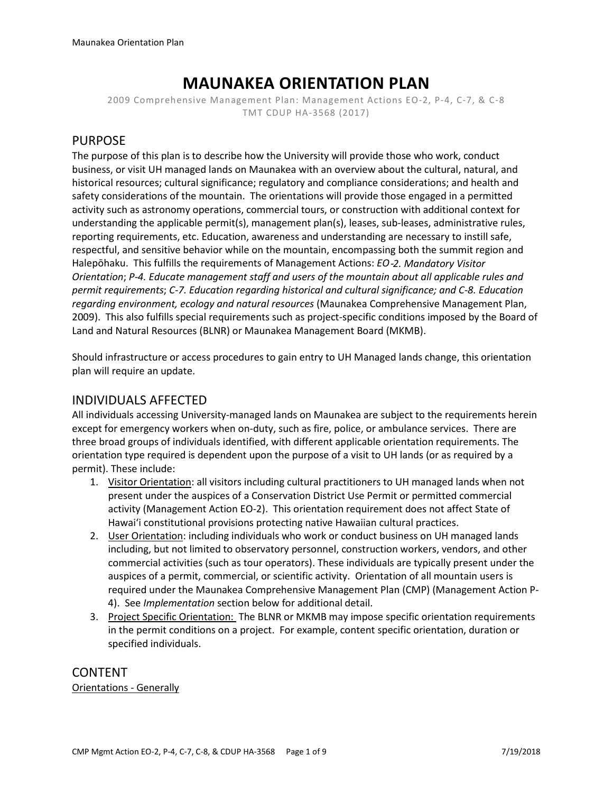# **MAUNAKEA ORIENTATION PLAN**

2009 Comprehensive Management Plan: Management Actions EO-2, P-4, C-7, & C-8 TMT CDUP HA-3568 (2017)

# PURPOSE

The purpose of this plan is to describe how the University will provide those who work, conduct business, or visit UH managed lands on Maunakea with an overview about the cultural, natural, and historical resources; cultural significance; regulatory and compliance considerations; and health and safety considerations of the mountain. The orientations will provide those engaged in a permitted activity such as astronomy operations, commercial tours, or construction with additional context for understanding the applicable permit(s), management plan(s), leases, sub-leases, administrative rules, reporting requirements, etc. Education, awareness and understanding are necessary to instill safe, respectful, and sensitive behavior while on the mountain, encompassing both the summit region and Halepōhaku. This fulfills the requirements of Management Actions: *EO*‐*2. Mandatory Visitor Orientation*; *P-4. Educate management staff and users of the mountain about all applicable rules and permit requirements*; *C-7. Education regarding historical and cultural significance; and C-8. Education regarding environment, ecology and natural resources* (Maunakea Comprehensive Management Plan, 2009). This also fulfills special requirements such as project-specific conditions imposed by the Board of Land and Natural Resources (BLNR) or Maunakea Management Board (MKMB).

Should infrastructure or access procedures to gain entry to UH Managed lands change, this orientation plan will require an update.

# INDIVIDUALS AFFECTED

All individuals accessing University-managed lands on Maunakea are subject to the requirements herein except for emergency workers when on-duty, such as fire, police, or ambulance services. There are three broad groups of individuals identified, with different applicable orientation requirements. The orientation type required is dependent upon the purpose of a visit to UH lands (or as required by a permit). These include:

- 1. Visitor Orientation: all visitors including cultural practitioners to UH managed lands when not present under the auspices of a Conservation District Use Permit or permitted commercial activity (Management Action EO-2). This orientation requirement does not affect State of Hawaiʻi constitutional provisions protecting native Hawaiian cultural practices.
- 2. User Orientation: including individuals who work or conduct business on UH managed lands including, but not limited to observatory personnel, construction workers, vendors, and other commercial activities (such as tour operators). These individuals are typically present under the auspices of a permit, commercial, or scientific activity. Orientation of all mountain users is required under the Maunakea Comprehensive Management Plan (CMP) (Management Action P-4). See *Implementation* section below for additional detail.
- 3. Project Specific Orientation: The BLNR or MKMB may impose specific orientation requirements in the permit conditions on a project. For example, content specific orientation, duration or specified individuals.

CONTENT Orientations - Generally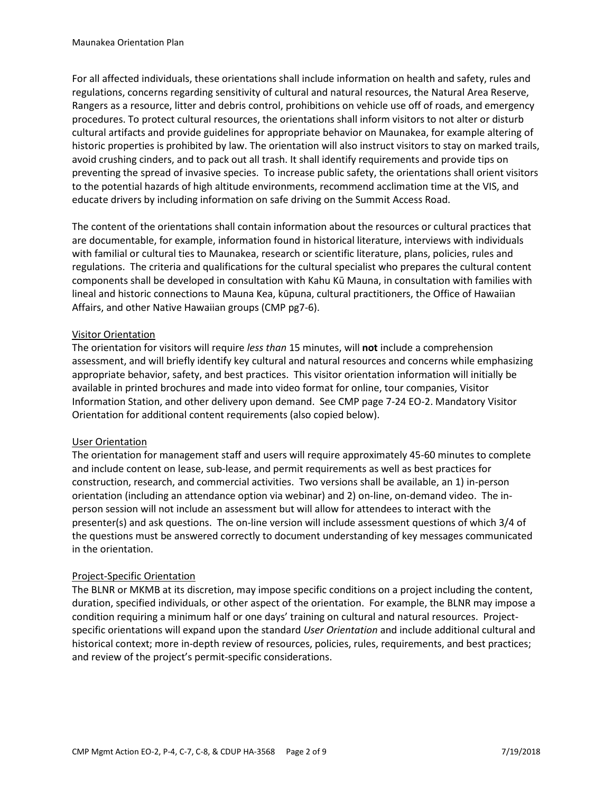For all affected individuals, these orientations shall include information on health and safety, rules and regulations, concerns regarding sensitivity of cultural and natural resources, the Natural Area Reserve, Rangers as a resource, litter and debris control, prohibitions on vehicle use off of roads, and emergency procedures. To protect cultural resources, the orientations shall inform visitors to not alter or disturb cultural artifacts and provide guidelines for appropriate behavior on Maunakea, for example altering of historic properties is prohibited by law. The orientation will also instruct visitors to stay on marked trails, avoid crushing cinders, and to pack out all trash. It shall identify requirements and provide tips on preventing the spread of invasive species. To increase public safety, the orientations shall orient visitors to the potential hazards of high altitude environments, recommend acclimation time at the VIS, and educate drivers by including information on safe driving on the Summit Access Road.

The content of the orientations shall contain information about the resources or cultural practices that are documentable, for example, information found in historical literature, interviews with individuals with familial or cultural ties to Maunakea, research or scientific literature, plans, policies, rules and regulations. The criteria and qualifications for the cultural specialist who prepares the cultural content components shall be developed in consultation with Kahu Kū Mauna, in consultation with families with lineal and historic connections to Mauna Kea, kūpuna, cultural practitioners, the Office of Hawaiian Affairs, and other Native Hawaiian groups (CMP pg7-6).

# Visitor Orientation

The orientation for visitors will require *less than* 15 minutes, will **not** include a comprehension assessment, and will briefly identify key cultural and natural resources and concerns while emphasizing appropriate behavior, safety, and best practices. This visitor orientation information will initially be available in printed brochures and made into video format for online, tour companies, Visitor Information Station, and other delivery upon demand. See CMP page 7-24 EO-2. Mandatory Visitor Orientation for additional content requirements (also copied below).

## User Orientation

The orientation for management staff and users will require approximately 45-60 minutes to complete and include content on lease, sub-lease, and permit requirements as well as best practices for construction, research, and commercial activities. Two versions shall be available, an 1) in-person orientation (including an attendance option via webinar) and 2) on-line, on-demand video. The inperson session will not include an assessment but will allow for attendees to interact with the presenter(s) and ask questions. The on-line version will include assessment questions of which 3/4 of the questions must be answered correctly to document understanding of key messages communicated in the orientation.

## Project-Specific Orientation

The BLNR or MKMB at its discretion, may impose specific conditions on a project including the content, duration, specified individuals, or other aspect of the orientation. For example, the BLNR may impose a condition requiring a minimum half or one days' training on cultural and natural resources. Projectspecific orientations will expand upon the standard *User Orientation* and include additional cultural and historical context; more in-depth review of resources, policies, rules, requirements, and best practices; and review of the project's permit-specific considerations.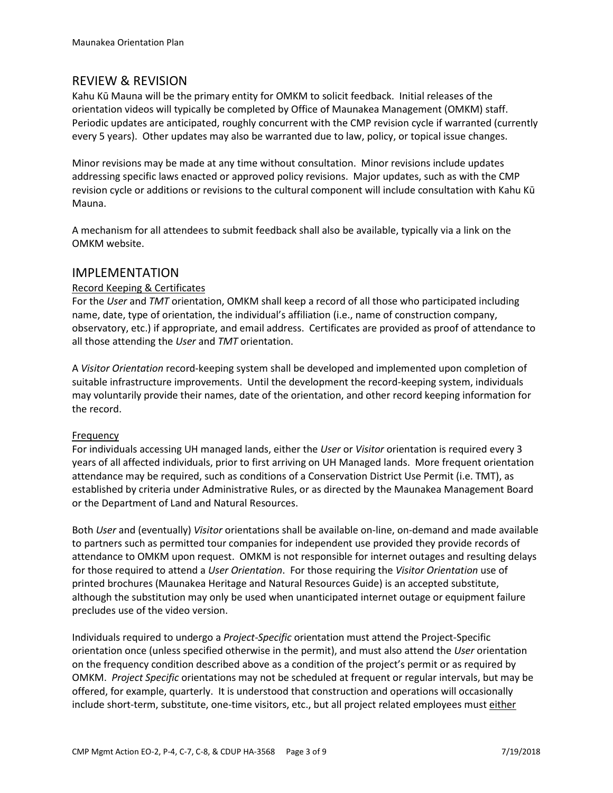# REVIEW & REVISION

Kahu Kū Mauna will be the primary entity for OMKM to solicit feedback. Initial releases of the orientation videos will typically be completed by Office of Maunakea Management (OMKM) staff. Periodic updates are anticipated, roughly concurrent with the CMP revision cycle if warranted (currently every 5 years). Other updates may also be warranted due to law, policy, or topical issue changes.

Minor revisions may be made at any time without consultation. Minor revisions include updates addressing specific laws enacted or approved policy revisions. Major updates, such as with the CMP revision cycle or additions or revisions to the cultural component will include consultation with Kahu Kū Mauna.

A mechanism for all attendees to submit feedback shall also be available, typically via a link on the OMKM website.

# IMPLEMENTATION

# Record Keeping & Certificates

For the *User* and *TMT* orientation, OMKM shall keep a record of all those who participated including name, date, type of orientation, the individual's affiliation (i.e., name of construction company, observatory, etc.) if appropriate, and email address. Certificates are provided as proof of attendance to all those attending the *User* and *TMT* orientation.

A *Visitor Orientation* record-keeping system shall be developed and implemented upon completion of suitable infrastructure improvements. Until the development the record-keeping system, individuals may voluntarily provide their names, date of the orientation, and other record keeping information for the record.

# Frequency

For individuals accessing UH managed lands, either the *User* or *Visitor* orientation is required every 3 years of all affected individuals, prior to first arriving on UH Managed lands. More frequent orientation attendance may be required, such as conditions of a Conservation District Use Permit (i.e. TMT), as established by criteria under Administrative Rules, or as directed by the Maunakea Management Board or the Department of Land and Natural Resources.

Both *User* and (eventually) *Visitor* orientations shall be available on-line, on-demand and made available to partners such as permitted tour companies for independent use provided they provide records of attendance to OMKM upon request. OMKM is not responsible for internet outages and resulting delays for those required to attend a *User Orientation*. For those requiring the *Visitor Orientation* use of printed brochures (Maunakea Heritage and Natural Resources Guide) is an accepted substitute, although the substitution may only be used when unanticipated internet outage or equipment failure precludes use of the video version.

Individuals required to undergo a *Project-Specific* orientation must attend the Project-Specific orientation once (unless specified otherwise in the permit), and must also attend the *User* orientation on the frequency condition described above as a condition of the project's permit or as required by OMKM. *Project Specific* orientations may not be scheduled at frequent or regular intervals, but may be offered, for example, quarterly. It is understood that construction and operations will occasionally include short-term, substitute, one-time visitors, etc., but all project related employees must either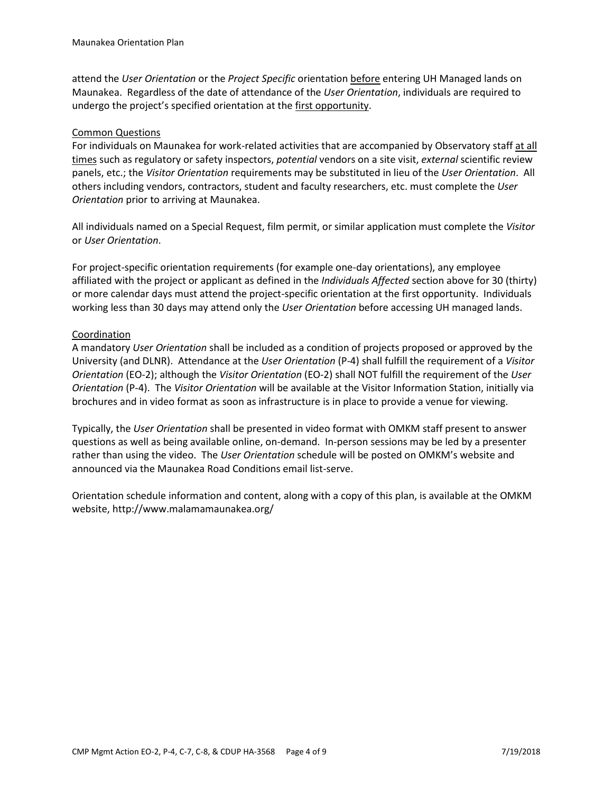attend the *User Orientation* or the *Project Specific* orientation before entering UH Managed lands on Maunakea. Regardless of the date of attendance of the *User Orientation*, individuals are required to undergo the project's specified orientation at the first opportunity.

# Common Questions

For individuals on Maunakea for work-related activities that are accompanied by Observatory staff at all times such as regulatory or safety inspectors, *potential* vendors on a site visit, *external* scientific review panels, etc.; the *Visitor Orientation* requirements may be substituted in lieu of the *User Orientation*. All others including vendors, contractors, student and faculty researchers, etc. must complete the *User Orientation* prior to arriving at Maunakea.

All individuals named on a Special Request, film permit, or similar application must complete the *Visitor*  or *User Orientation*.

For project-specific orientation requirements (for example one-day orientations), any employee affiliated with the project or applicant as defined in the *Individuals Affected* section above for 30 (thirty) or more calendar days must attend the project-specific orientation at the first opportunity. Individuals working less than 30 days may attend only the *User Orientation* before accessing UH managed lands.

# **Coordination**

A mandatory *User Orientation* shall be included as a condition of projects proposed or approved by the University (and DLNR). Attendance at the *User Orientation* (P-4) shall fulfill the requirement of a *Visitor Orientation* (EO-2); although the *Visitor Orientation* (EO-2) shall NOT fulfill the requirement of the *User Orientation* (P-4). The *Visitor Orientation* will be available at the Visitor Information Station, initially via brochures and in video format as soon as infrastructure is in place to provide a venue for viewing.

Typically, the *User Orientation* shall be presented in video format with OMKM staff present to answer questions as well as being available online, on-demand. In-person sessions may be led by a presenter rather than using the video. The *User Orientation* schedule will be posted on OMKM's website and announced via the Maunakea Road Conditions email list-serve.

Orientation schedule information and content, along with a copy of this plan, is available at the OMKM website, http://www.malamamaunakea.org/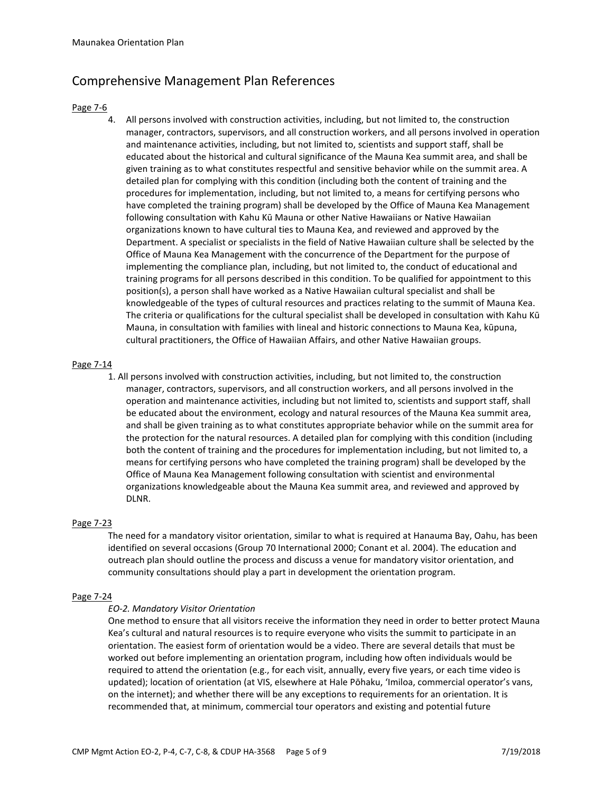# Comprehensive Management Plan References

#### Page 7-6

4. All persons involved with construction activities, including, but not limited to, the construction manager, contractors, supervisors, and all construction workers, and all persons involved in operation and maintenance activities, including, but not limited to, scientists and support staff, shall be educated about the historical and cultural significance of the Mauna Kea summit area, and shall be given training as to what constitutes respectful and sensitive behavior while on the summit area. A detailed plan for complying with this condition (including both the content of training and the procedures for implementation, including, but not limited to, a means for certifying persons who have completed the training program) shall be developed by the Office of Mauna Kea Management following consultation with Kahu Kū Mauna or other Native Hawaiians or Native Hawaiian organizations known to have cultural ties to Mauna Kea, and reviewed and approved by the Department. A specialist or specialists in the field of Native Hawaiian culture shall be selected by the Office of Mauna Kea Management with the concurrence of the Department for the purpose of implementing the compliance plan, including, but not limited to, the conduct of educational and training programs for all persons described in this condition. To be qualified for appointment to this position(s), a person shall have worked as a Native Hawaiian cultural specialist and shall be knowledgeable of the types of cultural resources and practices relating to the summit of Mauna Kea. The criteria or qualifications for the cultural specialist shall be developed in consultation with Kahu Kū Mauna, in consultation with families with lineal and historic connections to Mauna Kea, kūpuna, cultural practitioners, the Office of Hawaiian Affairs, and other Native Hawaiian groups.

## Page 7-14

1. All persons involved with construction activities, including, but not limited to, the construction manager, contractors, supervisors, and all construction workers, and all persons involved in the operation and maintenance activities, including but not limited to, scientists and support staff, shall be educated about the environment, ecology and natural resources of the Mauna Kea summit area, and shall be given training as to what constitutes appropriate behavior while on the summit area for the protection for the natural resources. A detailed plan for complying with this condition (including both the content of training and the procedures for implementation including, but not limited to, a means for certifying persons who have completed the training program) shall be developed by the Office of Mauna Kea Management following consultation with scientist and environmental organizations knowledgeable about the Mauna Kea summit area, and reviewed and approved by DLNR.

## Page 7-23

The need for a mandatory visitor orientation, similar to what is required at Hanauma Bay, Oahu, has been identified on several occasions (Group 70 International 2000; Conant et al. 2004). The education and outreach plan should outline the process and discuss a venue for mandatory visitor orientation, and community consultations should play a part in development the orientation program.

#### Page 7-24

## *EO-2. Mandatory Visitor Orientation*

One method to ensure that all visitors receive the information they need in order to better protect Mauna Kea's cultural and natural resources is to require everyone who visits the summit to participate in an orientation. The easiest form of orientation would be a video. There are several details that must be worked out before implementing an orientation program, including how often individuals would be required to attend the orientation (e.g., for each visit, annually, every five years, or each time video is updated); location of orientation (at VIS, elsewhere at Hale Pōhaku, 'Imiloa, commercial operator's vans, on the internet); and whether there will be any exceptions to requirements for an orientation. It is recommended that, at minimum, commercial tour operators and existing and potential future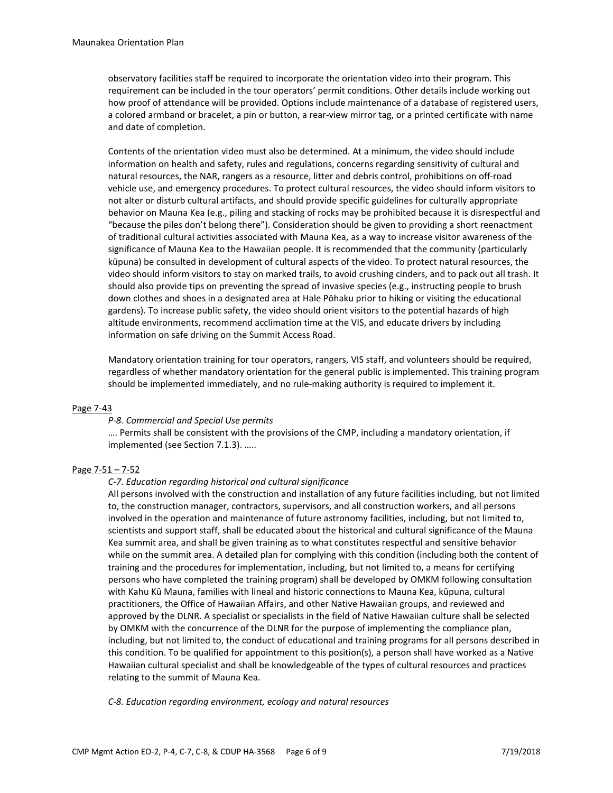observatory facilities staff be required to incorporate the orientation video into their program. This requirement can be included in the tour operators' permit conditions. Other details include working out how proof of attendance will be provided. Options include maintenance of a database of registered users, a colored armband or bracelet, a pin or button, a rear-view mirror tag, or a printed certificate with name and date of completion.

Contents of the orientation video must also be determined. At a minimum, the video should include information on health and safety, rules and regulations, concerns regarding sensitivity of cultural and natural resources, the NAR, rangers as a resource, litter and debris control, prohibitions on off-road vehicle use, and emergency procedures. To protect cultural resources, the video should inform visitors to not alter or disturb cultural artifacts, and should provide specific guidelines for culturally appropriate behavior on Mauna Kea (e.g., piling and stacking of rocks may be prohibited because it is disrespectful and "because the piles don't belong there"). Consideration should be given to providing a short reenactment of traditional cultural activities associated with Mauna Kea, as a way to increase visitor awareness of the significance of Mauna Kea to the Hawaiian people. It is recommended that the community (particularly kūpuna) be consulted in development of cultural aspects of the video. To protect natural resources, the video should inform visitors to stay on marked trails, to avoid crushing cinders, and to pack out all trash. It should also provide tips on preventing the spread of invasive species (e.g., instructing people to brush down clothes and shoes in a designated area at Hale Pōhaku prior to hiking or visiting the educational gardens). To increase public safety, the video should orient visitors to the potential hazards of high altitude environments, recommend acclimation time at the VIS, and educate drivers by including information on safe driving on the Summit Access Road.

Mandatory orientation training for tour operators, rangers, VIS staff, and volunteers should be required, regardless of whether mandatory orientation for the general public is implemented. This training program should be implemented immediately, and no rule-making authority is required to implement it.

#### Page 7-43

#### *P-8. Commercial and Special Use permits*

…. Permits shall be consistent with the provisions of the CMP, including a mandatory orientation, if implemented (see Section 7.1.3). …..

#### Page 7-51 – 7-52

#### *C-7. Education regarding historical and cultural significance*

All persons involved with the construction and installation of any future facilities including, but not limited to, the construction manager, contractors, supervisors, and all construction workers, and all persons involved in the operation and maintenance of future astronomy facilities, including, but not limited to, scientists and support staff, shall be educated about the historical and cultural significance of the Mauna Kea summit area, and shall be given training as to what constitutes respectful and sensitive behavior while on the summit area. A detailed plan for complying with this condition (including both the content of training and the procedures for implementation, including, but not limited to, a means for certifying persons who have completed the training program) shall be developed by OMKM following consultation with Kahu Kū Mauna, families with lineal and historic connections to Mauna Kea, kūpuna, cultural practitioners, the Office of Hawaiian Affairs, and other Native Hawaiian groups, and reviewed and approved by the DLNR. A specialist or specialists in the field of Native Hawaiian culture shall be selected by OMKM with the concurrence of the DLNR for the purpose of implementing the compliance plan, including, but not limited to, the conduct of educational and training programs for all persons described in this condition. To be qualified for appointment to this position(s), a person shall have worked as a Native Hawaiian cultural specialist and shall be knowledgeable of the types of cultural resources and practices relating to the summit of Mauna Kea.

*C-8. Education regarding environment, ecology and natural resources*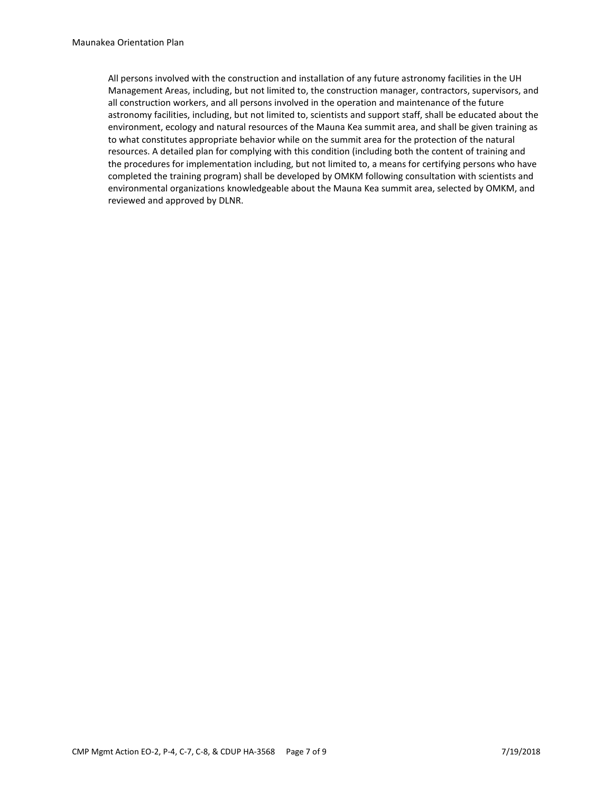All persons involved with the construction and installation of any future astronomy facilities in the UH Management Areas, including, but not limited to, the construction manager, contractors, supervisors, and all construction workers, and all persons involved in the operation and maintenance of the future astronomy facilities, including, but not limited to, scientists and support staff, shall be educated about the environment, ecology and natural resources of the Mauna Kea summit area, and shall be given training as to what constitutes appropriate behavior while on the summit area for the protection of the natural resources. A detailed plan for complying with this condition (including both the content of training and the procedures for implementation including, but not limited to, a means for certifying persons who have completed the training program) shall be developed by OMKM following consultation with scientists and environmental organizations knowledgeable about the Mauna Kea summit area, selected by OMKM, and reviewed and approved by DLNR.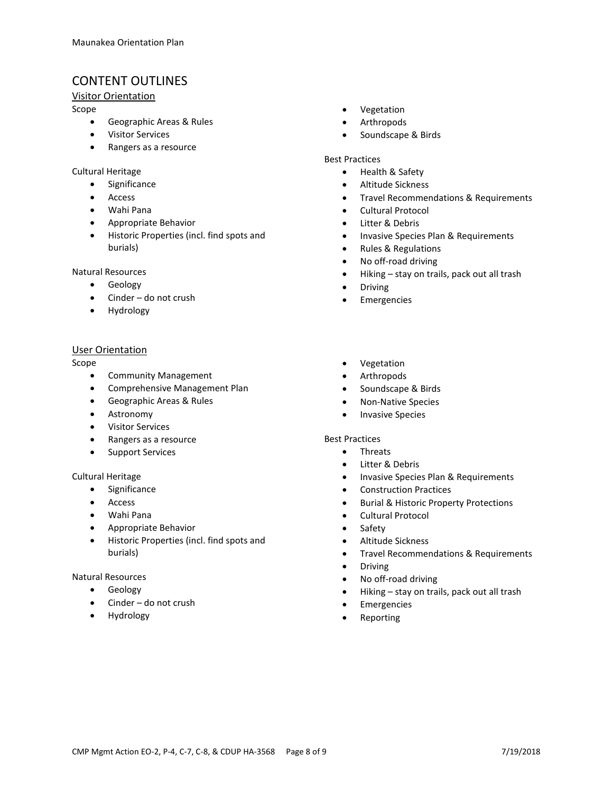# CONTENT OUTLINES

# Visitor Orientation

Scope

- Geographic Areas & Rules
- Visitor Services
- Rangers as a resource

## Cultural Heritage

- Significance
- Access
- Wahi Pana
- Appropriate Behavior
- Historic Properties (incl. find spots and burials)

#### Natural Resources

- Geology
- Cinder do not crush
- Hydrology

## User Orientation

Scope

- Community Management
- Comprehensive Management Plan
- Geographic Areas & Rules
- Astronomy
- Visitor Services
- Rangers as a resource
- Support Services

## Cultural Heritage

- Significance
- Access
- Wahi Pana
- Appropriate Behavior
- Historic Properties (incl. find spots and burials)

#### Natural Resources

- Geology
- Cinder do not crush
- **Hydrology**
- Vegetation
- Arthropods
- Soundscape & Birds

#### Best Practices

- Health & Safety
- Altitude Sickness
- Travel Recommendations & Requirements
- Cultural Protocol
- Litter & Debris
- Invasive Species Plan & Requirements
- Rules & Regulations
- No off-road driving
- Hiking stay on trails, pack out all trash
- Driving
- Emergencies
- Vegetation
- Arthropods
- Soundscape & Birds
- Non-Native Species
- Invasive Species

#### Best Practices

- Threats
- Litter & Debris
- Invasive Species Plan & Requirements
- Construction Practices
- Burial & Historic Property Protections
- Cultural Protocol
- **Safety**
- Altitude Sickness
- Travel Recommendations & Requirements
- Driving
- No off-road driving
- Hiking stay on trails, pack out all trash
- **Emergencies**
- **Reporting**